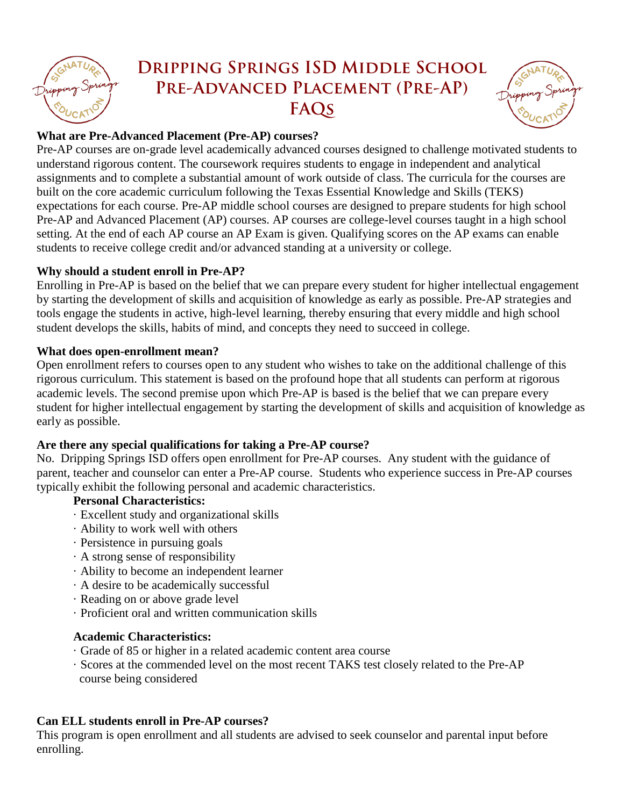

# **Dripping Springs ISD Middle School Pre-Advanced Placement (Pre-AP) FAQs**



## **What are Pre-Advanced Placement (Pre-AP) courses?**

Pre-AP courses are on-grade level academically advanced courses designed to challenge motivated students to understand rigorous content. The coursework requires students to engage in independent and analytical assignments and to complete a substantial amount of work outside of class. The curricula for the courses are built on the core academic curriculum following the Texas Essential Knowledge and Skills (TEKS) expectations for each course. Pre-AP middle school courses are designed to prepare students for high school Pre-AP and Advanced Placement (AP) courses. AP courses are college-level courses taught in a high school setting. At the end of each AP course an AP Exam is given. Qualifying scores on the AP exams can enable students to receive college credit and/or advanced standing at a university or college.

## **Why should a student enroll in Pre-AP?**

Enrolling in Pre-AP is based on the belief that we can prepare every student for higher intellectual engagement by starting the development of skills and acquisition of knowledge as early as possible. Pre-AP strategies and tools engage the students in active, high-level learning, thereby ensuring that every middle and high school student develops the skills, habits of mind, and concepts they need to succeed in college.

## **What does open-enrollment mean?**

Open enrollment refers to courses open to any student who wishes to take on the additional challenge of this rigorous curriculum. This statement is based on the profound hope that all students can perform at rigorous academic levels. The second premise upon which Pre-AP is based is the belief that we can prepare every student for higher intellectual engagement by starting the development of skills and acquisition of knowledge as early as possible.

## **Are there any special qualifications for taking a Pre-AP course?**

No. Dripping Springs ISD offers open enrollment for Pre-AP courses. Any student with the guidance of parent, teacher and counselor can enter a Pre-AP course. Students who experience success in Pre-AP courses typically exhibit the following personal and academic characteristics.

## **Personal Characteristics:**

- · Excellent study and organizational skills
- · Ability to work well with others
- · Persistence in pursuing goals
- · A strong sense of responsibility
- · Ability to become an independent learner
- · A desire to be academically successful
- · Reading on or above grade level
- · Proficient oral and written communication skills

# **Academic Characteristics:**

- · Grade of 85 or higher in a related academic content area course
- · Scores at the commended level on the most recent TAKS test closely related to the Pre-AP course being considered

# **Can ELL students enroll in Pre-AP courses?**

This program is open enrollment and all students are advised to seek counselor and parental input before enrolling.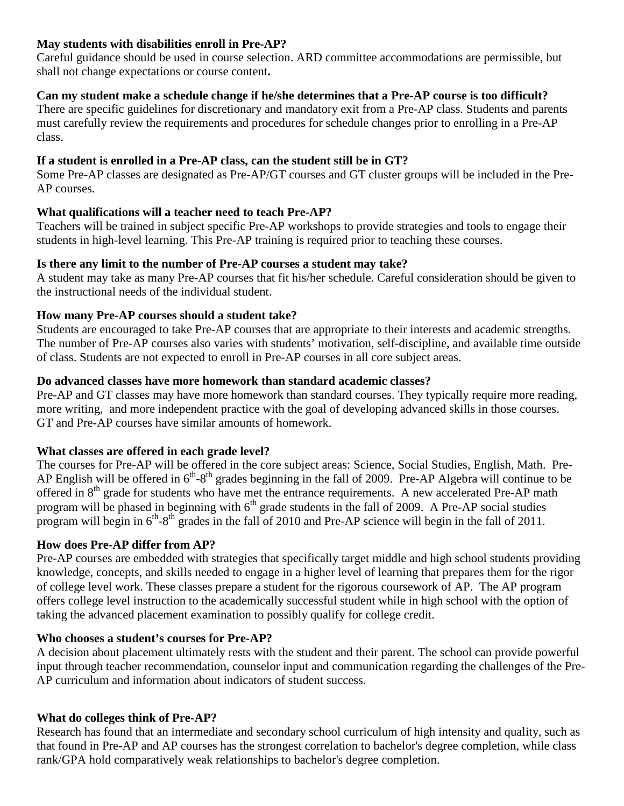## **May students with disabilities enroll in Pre-AP?**

Careful guidance should be used in course selection. ARD committee accommodations are permissible, but shall not change expectations or course content**.**

## **Can my student make a schedule change if he/she determines that a Pre-AP course is too difficult?**

There are specific guidelines for discretionary and mandatory exit from a Pre-AP class. Students and parents must carefully review the requirements and procedures for schedule changes prior to enrolling in a Pre-AP class.

## **If a student is enrolled in a Pre-AP class, can the student still be in GT?**

Some Pre-AP classes are designated as Pre-AP/GT courses and GT cluster groups will be included in the Pre-AP courses.

## **What qualifications will a teacher need to teach Pre-AP?**

Teachers will be trained in subject specific Pre-AP workshops to provide strategies and tools to engage their students in high-level learning. This Pre-AP training is required prior to teaching these courses.

## **Is there any limit to the number of Pre-AP courses a student may take?**

A student may take as many Pre-AP courses that fit his/her schedule. Careful consideration should be given to the instructional needs of the individual student.

## **How many Pre-AP courses should a student take?**

Students are encouraged to take Pre-AP courses that are appropriate to their interests and academic strengths. The number of Pre-AP courses also varies with students' motivation, self-discipline, and available time outside of class. Students are not expected to enroll in Pre-AP courses in all core subject areas.

## **Do advanced classes have more homework than standard academic classes?**

Pre-AP and GT classes may have more homework than standard courses. They typically require more reading, more writing, and more independent practice with the goal of developing advanced skills in those courses. GT and Pre-AP courses have similar amounts of homework.

## **What classes are offered in each grade level?**

The courses for Pre-AP will be offered in the core subject areas: Science, Social Studies, English, Math. Pre-AP English will be offered in  $6<sup>th</sup>$ -8<sup>th</sup> grades beginning in the fall of 2009. Pre-AP Algebra will continue to be offered in 8th grade for students who have met the entrance requirements. A new accelerated Pre-AP math program will be phased in beginning with  $6<sup>th</sup>$  grade students in the fall of 2009. A Pre-AP social studies program will begin in  $6<sup>th</sup> - 8<sup>th</sup>$  grades in the fall of 2010 and Pre-AP science will begin in the fall of 2011.

## **How does Pre-AP differ from AP?**

Pre-AP courses are embedded with strategies that specifically target middle and high school students providing knowledge, concepts, and skills needed to engage in a higher level of learning that prepares them for the rigor of college level work. These classes prepare a student for the rigorous coursework of AP. The AP program offers college level instruction to the academically successful student while in high school with the option of taking the advanced placement examination to possibly qualify for college credit.

## **Who chooses a student's courses for Pre-AP?**

A decision about placement ultimately rests with the student and their parent. The school can provide powerful input through teacher recommendation, counselor input and communication regarding the challenges of the Pre-AP curriculum and information about indicators of student success.

## **What do colleges think of Pre-AP?**

Research has found that an intermediate and secondary school curriculum of high intensity and quality, such as that found in Pre-AP and AP courses has the strongest correlation to bachelor's degree completion, while class rank/GPA hold comparatively weak relationships to bachelor's degree completion.